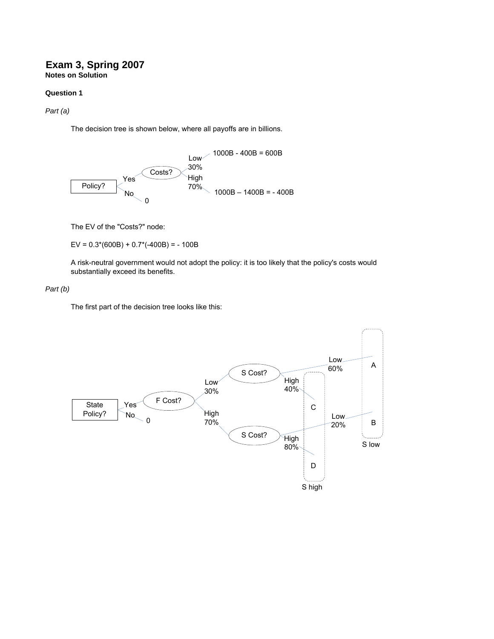## **Exam 3, Spring 2007 Notes on Solution**

### **Question 1**

*Part (a)*

The decision tree is shown below, where all payoffs are in billions.



The EV of the "Costs?" node:

EV =  $0.3*(600B) + 0.7*(-400B) = -100B$ 

A risk-neutral government would not adopt the policy: it is too likely that the policy's costs would substantially exceed its benefits.

#### *Part (b)*

The first part of the decision tree looks like this:

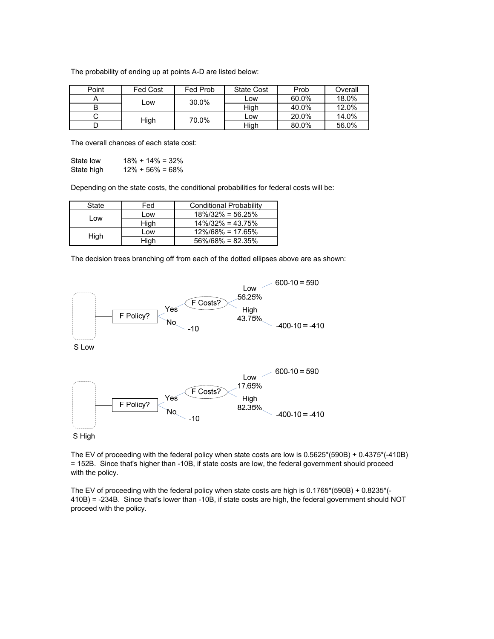The probability of ending up at points A-D are listed below:

| Point | <b>Fed Cost</b> | Fed Prob | <b>State Cost</b> | Prob  | Overall |
|-------|-----------------|----------|-------------------|-------|---------|
|       |                 | 30.0%    | Low               | 60.0% | 18.0%   |
|       | _ow             |          | High              | 40.0% | 12.0%   |
| ັ     | High            | 70.0%    | Low               | 20.0% | 14.0%   |
|       |                 |          | High              | 80.0% | 56.0%   |

The overall chances of each state cost:

| State low  | $18\% + 14\% = 32\%$ |
|------------|----------------------|
| State high | $12\% + 56\% = 68\%$ |

Depending on the state costs, the conditional probabilities for federal costs will be:

| State | Fed  | <b>Conditional Probability</b> |
|-------|------|--------------------------------|
| Low   | Low  | $18\%/32\% = 56.25\%$          |
|       | High | $14\%/32\% = 43.75\%$          |
| High  | Low  | $12\%/68\% = 17.65\%$          |
|       | High | $56\%/68\% = 82.35\%$          |

The decision trees branching off from each of the dotted ellipses above are as shown:



The EV of proceeding with the federal policy when state costs are low is 0.5625\*(590B) + 0.4375\*(-410B) = 152B. Since that's higher than -10B, if state costs are low, the federal government should proceed with the policy.

The EV of proceeding with the federal policy when state costs are high is 0.1765\*(590B) + 0.8235\*(- 410B) = -234B. Since that's lower than -10B, if state costs are high, the federal government should NOT proceed with the policy.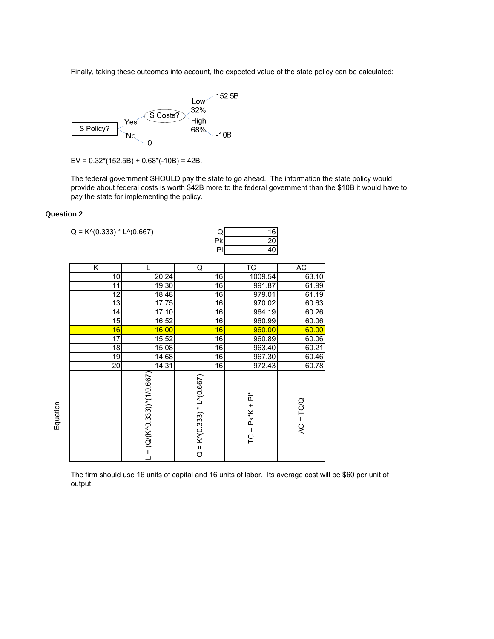Finally, taking these outcomes into account, the expected value of the state policy can be calculated:



EV =  $0.32*(152.5B) + 0.68*(-10B) = 42B$ .

The federal government SHOULD pay the state to go ahead. The information the state policy would provide about federal costs is worth \$42B more to the federal government than the \$10B it would have to pay the state for implementing the policy.

### **Question 2**

| $Q = K \cdot (0.333) * L \cdot (0.667)$ |                                            | Q<br>Pk<br>PI                   | 16<br>$\overline{20}$<br>40 |             |
|-----------------------------------------|--------------------------------------------|---------------------------------|-----------------------------|-------------|
| K                                       | L                                          | Q                               | ТC                          | <b>AC</b>   |
| 10                                      | 20.24                                      | 16                              | 1009.54                     | 63.10       |
| $\overline{11}$                         | 19.30                                      | 16                              | 991.87                      | 61.99       |
| 12                                      | 18.48                                      | 16                              | 979.01                      | 61.19       |
| 13                                      | 17.75                                      | 16                              | 970.02                      | 60.63       |
| 14                                      | 17.10                                      | 16                              | 964.19                      | 60.26       |
| 15                                      | 16.52                                      | 16                              | 960.99                      | 60.06       |
| 16                                      | 16.00                                      | 16                              | 960.00                      | 60.00       |
| 17                                      | 15.52                                      | 16                              | 960.89                      | 60.06       |
| 18                                      | 15.08                                      | 16                              | 963.40                      | 60.21       |
| 19                                      | 14.68                                      | 16                              | 967.30                      | 60.46       |
| $\overline{20}$                         | 14.31                                      | $\overline{6}$                  | 972.43                      | 60.78       |
|                                         | $L = (Q/(K'0.333))$ <sup>2</sup> (1/0.667) | $Q = K^{(0.333)} * L^{(0.667)}$ | $TC = PK*K + PI*L$          | $AC = TC/Q$ |

The firm should use 16 units of capital and 16 units of labor. Its average cost will be \$60 per unit of output.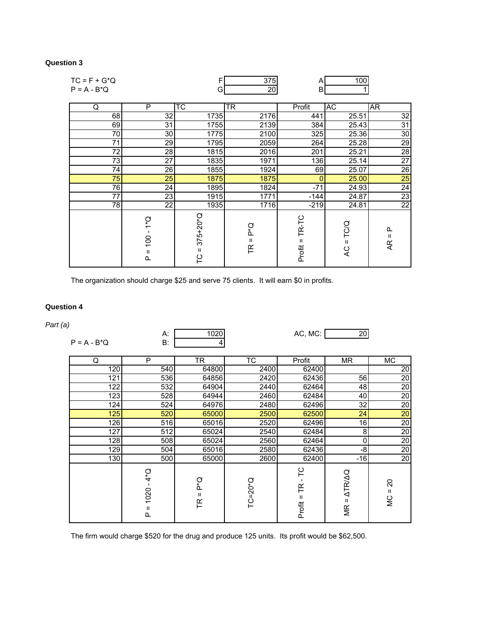# **Question 3**

| $TC = F + G^*Q$<br>$P = A - B^*Q$ |                                                                                                 | F<br>G                                 | 375<br>20         | A<br><sub>B</sub>    | 100                                    |                          |
|-----------------------------------|-------------------------------------------------------------------------------------------------|----------------------------------------|-------------------|----------------------|----------------------------------------|--------------------------|
| Q                                 | P                                                                                               | $\overline{\text{TC}}$                 | TR                | Profit               | AC                                     | AR                       |
| 68                                | 32                                                                                              | 1735                                   | 2176              | 441                  | 25.51                                  | 32                       |
| 69                                | 31                                                                                              | 1755                                   | 2139              | 384                  | 25.43                                  | 31                       |
| 70                                | 30                                                                                              | 1775                                   | 2100              | 325                  | 25.36                                  | $30\,$                   |
| 71                                | 29                                                                                              | 1795                                   | 2059              | 264                  | 25.28                                  | 29                       |
| 72                                | 28                                                                                              | 1815                                   | 2016              | 201                  | 25.21                                  | $\overline{28}$          |
| 73                                | 27                                                                                              | 1835                                   | 1971              | 136                  | 25.14                                  | $\overline{27}$          |
| 74                                | 26                                                                                              | 1855                                   | 1924              | 69                   | 25.07                                  | $\overline{26}$          |
| 75                                | 25                                                                                              | 1875                                   | 1875              | $\Omega$             | 25.00                                  | 25                       |
| 76                                | 24                                                                                              | 1895                                   | 1824              | $-71$                | 24.93                                  | 24                       |
| 77                                | 23                                                                                              | 1915                                   | 1771              | $-144$               | 24.87                                  | $\overline{23}$          |
| 78                                | 22                                                                                              | 1935                                   | 1716              | $-219$               | 24.81                                  | $\overline{22}$          |
|                                   | à<br>$\overline{\phantom{0}}$<br>$\blacksquare$<br>$\overline{100}$<br>$\mathbf{H}$<br>$\Omega$ | $375+20*Q$<br>$\mathbf{H}$<br><b>C</b> | Ο.<br>Δ<br>Ш<br>氏 | TR-TC<br>Ш<br>Profit | TC/Q<br>$\mathbf{H}$<br>$\overline{A}$ | Q.<br>$\mathbf{H}$<br>ĄR |

The organization should charge \$25 and serve 75 clients. It will earn \$0 in profits.

## **Question 4**

# *Part (a)*

| $P = A - B^*Q$ | А:<br>B:                                                        | 1020<br>4         |                    | AC, MC:                 | 20                                 |                               |
|----------------|-----------------------------------------------------------------|-------------------|--------------------|-------------------------|------------------------------------|-------------------------------|
| Q              | P                                                               | TR                | <b>TC</b>          | Profit                  | <b>MR</b>                          | МC                            |
| 120            | 540                                                             | 64800             | 2400               | 62400                   |                                    | 20                            |
| 121            | 536                                                             | 64856             | 2420               | 62436                   | 56                                 | 20                            |
| 122            | 532                                                             | 64904             | 2440               | 62464                   | 48                                 | $\overline{20}$               |
| 123            | 528                                                             | 64944             | 2460               | 62484                   | 40                                 | 20                            |
| 124            | 524                                                             | 64976             | 2480               | 62496                   | 32                                 | 20                            |
| 125            | 520                                                             | 65000             | 2500               | 62500                   | 24                                 | 20                            |
| 126            | 516                                                             | 65016             | 2520               | 62496                   | 16                                 | 20                            |
| 127            | 512                                                             | 65024             | 2540               | 62484                   | 8                                  | $\overline{20}$               |
| 128            | 508                                                             | 65024             | 2560               | 62464                   | 0                                  | 20                            |
| 129            | 504                                                             | 65016             | 2580               | 62436                   | -8                                 | $\overline{20}$               |
| 130            | 500                                                             | 65000             | 2600               | 62400                   | $-16$                              | 20                            |
|                | $4*$ Q<br>$\mathbf{I}$<br>1020<br>$\sf II$<br>$\mathbf{\Omega}$ | Ο.<br>Δ<br>Ш<br>氏 | $TC = 20^{\circ}Q$ | ۲C<br>FR<br>Ш<br>Profit | <b>ATRIAQ</b><br>$\mathbf H$<br>МR | $\Omega$<br>$\mathbf H$<br>wc |

The firm would charge \$520 for the drug and produce 125 units. Its profit would be \$62,500.